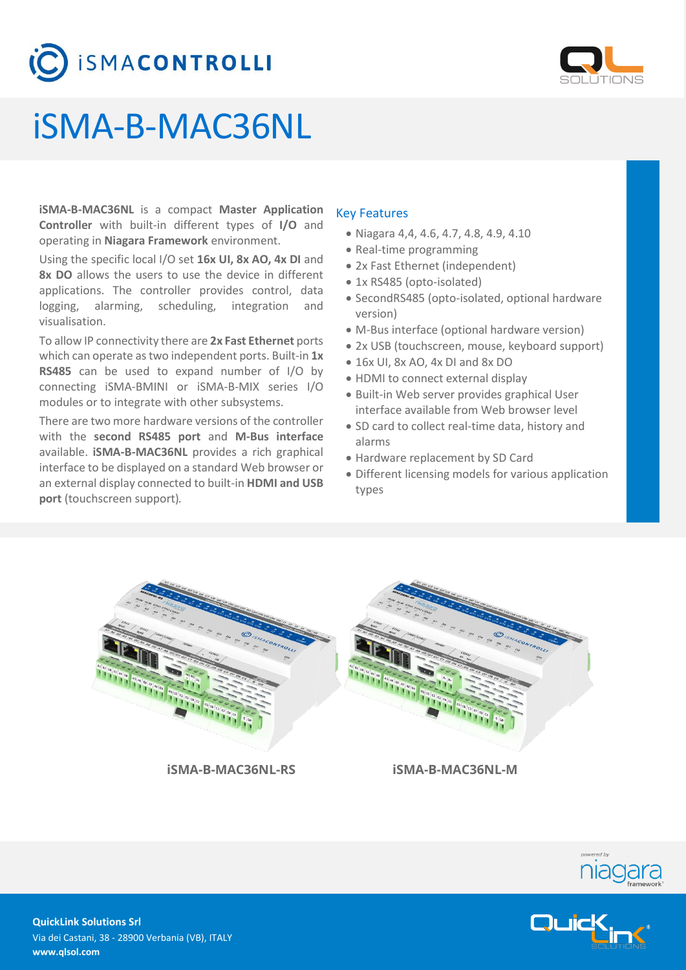



# iSMA-B-MAC36NL

**iSMA-B-MAC36NL** is a compact **Master Application Controller** with built-in different types of **I/O** and operating in **Niagara Framework** environment.

Using the specific local I/O set **16x UI, 8x AO, 4x DI** and **8x DO** allows the users to use the device in different applications. The controller provides control, data logging, alarming, scheduling, integration and visualisation.

To allow IP connectivity there are **2x Fast Ethernet** ports which can operate as two independent ports. Built-in **1x RS485** can be used to expand number of I/O by connecting iSMA-BMINI or iSMA-B-MIX series I/O modules or to integrate with other subsystems.

There are two more hardware versions of the controller with the **second RS485 port** and **M-Bus interface** available. **iSMA-B-MAC36NL** provides a rich graphical interface to be displayed on a standard Web browser or an external display connected to built-in **HDMI and USB port** (touchscreen support)*.*

# Key Features

- Niagara 4,4, 4.6, 4.7, 4.8, 4.9, 4.10
- Real-time programming
- 2x Fast Ethernet (independent)
- 1x RS485 (opto-isolated)
- SecondRS485 (opto-isolated, optional hardware version)
- M-Bus interface (optional hardware version)
- 2x USB (touchscreen, mouse, keyboard support)
- 16x UI, 8x AO, 4x DI and 8x DO
- HDMI to connect external display
- Built-in Web server provides graphical User interface available from Web browser level
- SD card to collect real-time data, history and alarms
- Hardware replacement by SD Card
- Different licensing models for various application types



**iSMA-B-MAC36NL-RS iSMA-B-MAC36NL-M**





**QuickLink Solutions Srl** Via dei Castani, 38 - 28900 Verbania (VB), ITALY **www.qlsol.com**